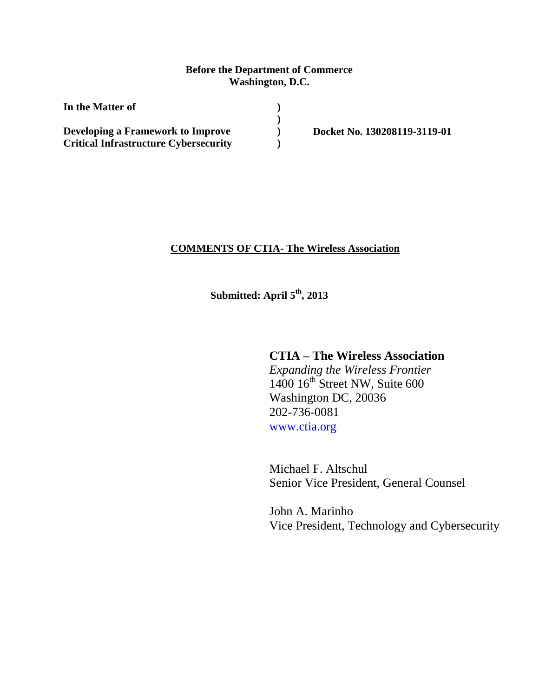### **Before the Department of Commerce Washington, D.C.**

**) ) ) )**

**In the Matter of Developing a Framework to Improve Critical Infrastructure Cybersecurity**

**Docket No. 130208119-3119-01**

#### **COMMENTS OF CTIA- The Wireless Association**

**Submitted: April 5 th, 2013**

# **CTIA – The Wireless Association**

*Expanding the Wireless Frontier*  $1400 16<sup>th</sup>$  Street NW, Suite 600 Washington DC, 20036 202-736-0081 [www.ctia.org](http://www.ctia.org/)

Michael F. Altschul Senior Vice President, General Counsel

John A. Marinho Vice President, Technology and Cybersecurity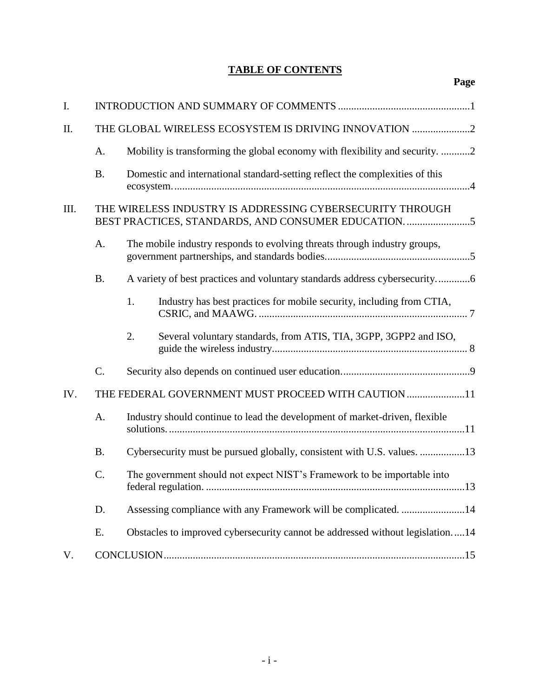# **TABLE OF CONTENTS**

| I.   |           |                                                                                                                |
|------|-----------|----------------------------------------------------------------------------------------------------------------|
| II.  |           | THE GLOBAL WIRELESS ECOSYSTEM IS DRIVING INNOVATION 2                                                          |
|      | A.        | Mobility is transforming the global economy with flexibility and security. 2                                   |
|      | <b>B.</b> | Domestic and international standard-setting reflect the complexities of this                                   |
| III. |           | THE WIRELESS INDUSTRY IS ADDRESSING CYBERSECURITY THROUGH<br>BEST PRACTICES, STANDARDS, AND CONSUMER EDUCATION |
|      | A.        | The mobile industry responds to evolving threats through industry groups,                                      |
|      | <b>B.</b> |                                                                                                                |
|      |           | 1.<br>Industry has best practices for mobile security, including from CTIA,                                    |
|      |           | 2.<br>Several voluntary standards, from ATIS, TIA, 3GPP, 3GPP2 and ISO,                                        |
|      | $C$ .     |                                                                                                                |
| IV.  |           | THE FEDERAL GOVERNMENT MUST PROCEED WITH CAUTION 11                                                            |
|      | A.        | Industry should continue to lead the development of market-driven, flexible                                    |
|      | <b>B.</b> | Cybersecurity must be pursued globally, consistent with U.S. values. 13                                        |
|      | C.        | The government should not expect NIST's Framework to be importable into                                        |
|      | D.        | Assessing compliance with any Framework will be complicated. 14                                                |
|      | Ε.        | Obstacles to improved cybersecurity cannot be addressed without legislation14                                  |
| V.   |           |                                                                                                                |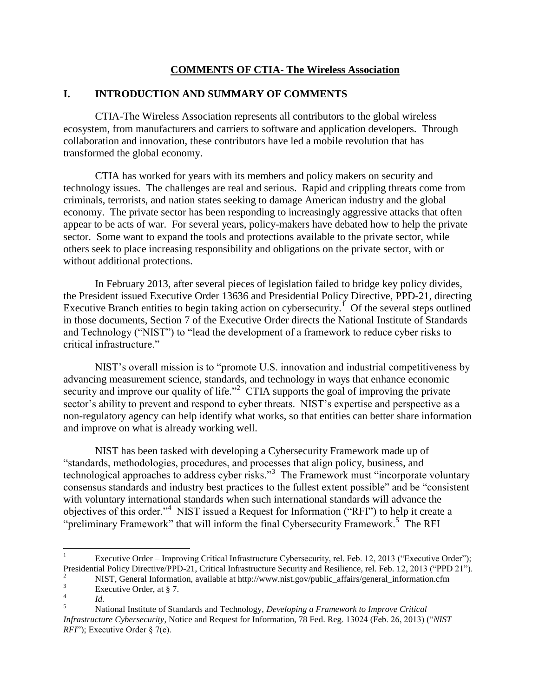### **COMMENTS OF CTIA- The Wireless Association**

### <span id="page-2-0"></span>**I. INTRODUCTION AND SUMMARY OF COMMENTS**

CTIA-The Wireless Association represents all contributors to the global wireless ecosystem, from manufacturers and carriers to software and application developers. Through collaboration and innovation, these contributors have led a mobile revolution that has transformed the global economy.

CTIA has worked for years with its members and policy makers on security and technology issues. The challenges are real and serious. Rapid and crippling threats come from criminals, terrorists, and nation states seeking to damage American industry and the global economy. The private sector has been responding to increasingly aggressive attacks that often appear to be acts of war. For several years, policy-makers have debated how to help the private sector. Some want to expand the tools and protections available to the private sector, while others seek to place increasing responsibility and obligations on the private sector, with or without additional protections.

In February 2013, after several pieces of legislation failed to bridge key policy divides, the President issued Executive Order 13636 and Presidential Policy Directive, PPD-21, directing Executive Branch entities to begin taking action on cybersecurity.<sup> $1$ </sup> Of the several steps outlined in those documents, Section 7 of the Executive Order directs the National Institute of Standards and Technology ("NIST") to "lead the development of a framework to reduce cyber risks to critical infrastructure."

NIST's overall mission is to "promote U.S. innovation and industrial competitiveness by advancing measurement science, standards, and technology in ways that enhance economic security and improve our quality of life."<sup>2</sup> CTIA supports the goal of improving the private sector's ability to prevent and respond to cyber threats. NIST's expertise and perspective as a non-regulatory agency can help identify what works, so that entities can better share information and improve on what is already working well.

NIST has been tasked with developing a Cybersecurity Framework made up of "standards, methodologies, procedures, and processes that align policy, business, and technological approaches to address cyber risks."<sup>3</sup> The Framework must "incorporate voluntary consensus standards and industry best practices to the fullest extent possible" and be "consistent with voluntary international standards when such international standards will advance the objectives of this order."<sup>4</sup> NIST issued a Request for Information ("RFI") to help it create a "preliminary Framework" that will inform the final Cybersecurity Framework.<sup>5</sup> The RFI

 $\overline{a}$ 

<sup>1</sup> Executive Order – Improving Critical Infrastructure Cybersecurity, rel. Feb. 12, 2013 ("Executive Order"); Presidential Policy Directive/PPD-21, Critical Infrastructure Security and Resilience, rel. Feb. 12, 2013 ("PPD 21").

<sup>&</sup>lt;sup>2</sup> NIST, General Information, available at http://www.nist.gov/public\_affairs/general\_information.cfm<br>
<sup>3</sup>

Executive Order, at § 7. 4

*Id.*

<sup>5</sup> National Institute of Standards and Technology, *Developing a Framework to Improve Critical Infrastructure Cybersecurity*, Notice and Request for Information, 78 Fed. Reg. 13024 (Feb. 26, 2013) ("*NIST RFI*"); Executive Order § 7(e).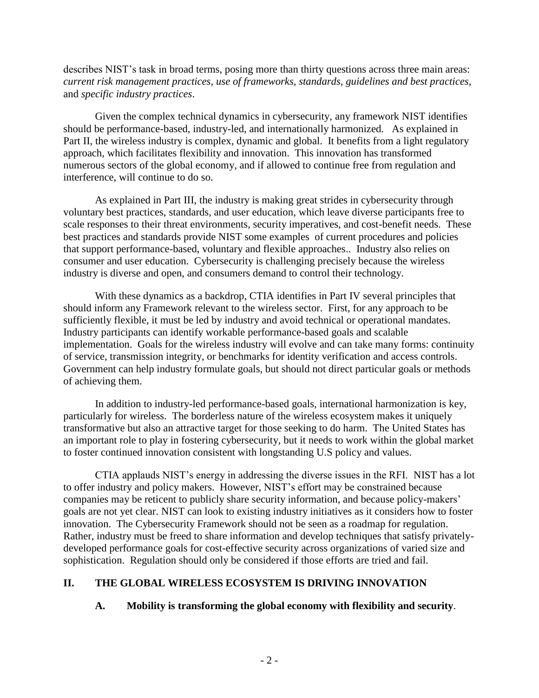describes NIST's task in broad terms, posing more than thirty questions across three main areas: *current risk management practices*, *use of frameworks, standards, guidelines and best practices*, and *specific industry practices*.

Given the complex technical dynamics in cybersecurity, any framework NIST identifies should be performance-based, industry-led, and internationally harmonized. As explained in Part II, the wireless industry is complex, dynamic and global. It benefits from a light regulatory approach, which facilitates flexibility and innovation. This innovation has transformed numerous sectors of the global economy, and if allowed to continue free from regulation and interference, will continue to do so.

As explained in Part III, the industry is making great strides in cybersecurity through voluntary best practices, standards, and user education, which leave diverse participants free to scale responses to their threat environments, security imperatives, and cost-benefit needs. These best practices and standards provide NIST some examples of current procedures and policies that support performance-based, voluntary and flexible approaches.. Industry also relies on consumer and user education. Cybersecurity is challenging precisely because the wireless industry is diverse and open, and consumers demand to control their technology.

With these dynamics as a backdrop, CTIA identifies in Part IV several principles that should inform any Framework relevant to the wireless sector. First, for any approach to be sufficiently flexible, it must be led by industry and avoid technical or operational mandates. Industry participants can identify workable performance-based goals and scalable implementation. Goals for the wireless industry will evolve and can take many forms: continuity of service, transmission integrity, or benchmarks for identity verification and access controls. Government can help industry formulate goals, but should not direct particular goals or methods of achieving them.

In addition to industry-led performance-based goals, international harmonization is key, particularly for wireless. The borderless nature of the wireless ecosystem makes it uniquely transformative but also an attractive target for those seeking to do harm. The United States has an important role to play in fostering cybersecurity, but it needs to work within the global market to foster continued innovation consistent with longstanding U.S policy and values.

CTIA applauds NIST's energy in addressing the diverse issues in the RFI. NIST has a lot to offer industry and policy makers. However, NIST's effort may be constrained because companies may be reticent to publicly share security information, and because policy-makers' goals are not yet clear. NIST can look to existing industry initiatives as it considers how to foster innovation. The Cybersecurity Framework should not be seen as a roadmap for regulation. Rather, industry must be freed to share information and develop techniques that satisfy privatelydeveloped performance goals for cost-effective security across organizations of varied size and sophistication. Regulation should only be considered if those efforts are tried and fail.

# <span id="page-3-1"></span><span id="page-3-0"></span>**II. THE GLOBAL WIRELESS ECOSYSTEM IS DRIVING INNOVATION**

# **A. Mobility is transforming the global economy with flexibility and security**.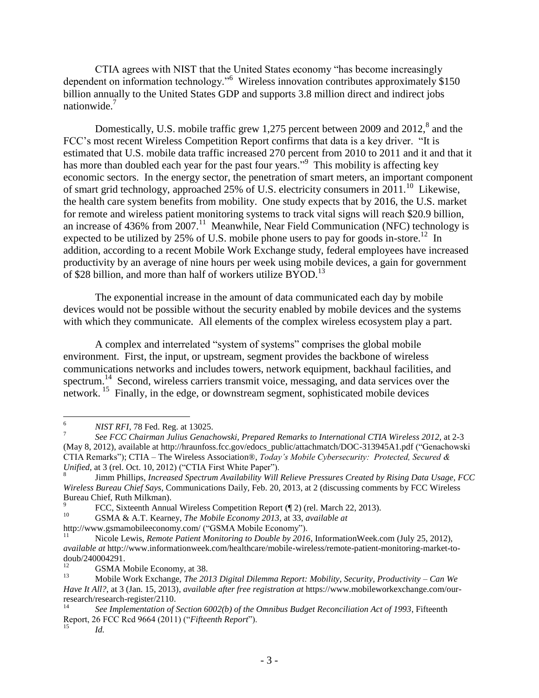CTIA agrees with NIST that the United States economy "has become increasingly dependent on information technology."<sup>6</sup> Wireless innovation contributes approximately \$150 billion annually to the United States GDP and supports 3.8 million direct and indirect jobs nationwide.<sup>7</sup>

Domestically, U.S. mobile traffic grew 1,275 percent between 2009 and  $2012$ ,  $8$  and the FCC's most recent Wireless Competition Report confirms that data is a key driver. "It is estimated that U.S. mobile data traffic increased 270 percent from 2010 to 2011 and it and that it has more than doubled each year for the past four years."<sup>9</sup> This mobility is affecting key economic sectors. In the energy sector, the penetration of smart meters, an important component of smart grid technology, approached 25% of U.S. electricity consumers in  $2011$ .<sup>10</sup> Likewise, the health care system benefits from mobility. One study expects that by 2016, the U.S. market for remote and wireless patient monitoring systems to track vital signs will reach \$20.9 billion, an increase of 436% from 2007.<sup>11</sup> Meanwhile, Near Field Communication (NFC) technology is expected to be utilized by 25% of U.S. mobile phone users to pay for goods in-store.<sup>12</sup> In addition, according to a recent Mobile Work Exchange study, federal employees have increased productivity by an average of nine hours per week using mobile devices, a gain for government of \$28 billion, and more than half of workers utilize BYOD.<sup>13</sup>

The exponential increase in the amount of data communicated each day by mobile devices would not be possible without the security enabled by mobile devices and the systems with which they communicate. All elements of the complex wireless ecosystem play a part.

A complex and interrelated "system of systems" comprises the global mobile environment. First, the input, or upstream, segment provides the backbone of wireless communications networks and includes towers, network equipment, backhaul facilities, and spectrum.<sup>14</sup> Second, wireless carriers transmit voice, messaging, and data services over the network.<sup>15</sup> Finally, in the edge, or downstream segment, sophisticated mobile devices

<sup>10</sup> GSMA & A.T. Kearney, *The Mobile Economy 2013*, at 33, *available at* 

 $6\phantom{a}$ <sup>6</sup> *NIST RFI*, 78 Fed. Reg. at 13025.

<sup>7</sup> *See FCC Chairman Julius Genachowski, Prepared Remarks to International CTIA Wireless 2012*, at 2-3 (May 8, 2012), available at http://hraunfoss.fcc.gov/edocs\_public/attachmatch/DOC-313945A1.pdf ("Genachowski CTIA Remarks"); CTIA – The Wireless Association®, *Today's Mobile Cybersecurity: Protected, Secured & Unified*, at 3 (rel. Oct. 10, 2012) ("CTIA First White Paper").

<sup>8</sup> Jimm Phillips, *Increased Spectrum Availability Will Relieve Pressures Created by Rising Data Usage, FCC Wireless Bureau Chief Says*, Communications Daily, Feb. 20, 2013, at 2 (discussing comments by FCC Wireless Bureau Chief, Ruth Milkman).

<sup>9</sup> FCC, Sixteenth Annual Wireless Competition Report (¶ 2) (rel. March 22, 2013).

http://www.gsmamobileeconomy.com/ ("GSMA Mobile Economy").

<sup>11</sup> Nicole Lewis, *Remote Patient Monitoring to Double by 2016*, InformationWeek.com (July 25, 2012), *available at* http://www.informationweek.com/healthcare/mobile-wireless/remote-patient-monitoring-market-todoub/240004291.

 $^{12}$  GSMA Mobile Economy, at 38.

<sup>13</sup> Mobile Work Exchange, *The 2013 Digital Dilemma Report: Mobility, Security, Productivity – Can We Have It All?*, at 3 (Jan. 15, 2013), *available after free registration at* https://www.mobileworkexchange.com/ourresearch/research-register/2110.

<sup>14</sup> *See Implementation of Section 6002(b) of the Omnibus Budget Reconciliation Act of 1993*, Fifteenth Report, 26 FCC Rcd 9664 (2011) ("*Fifteenth Report*").

*Id.*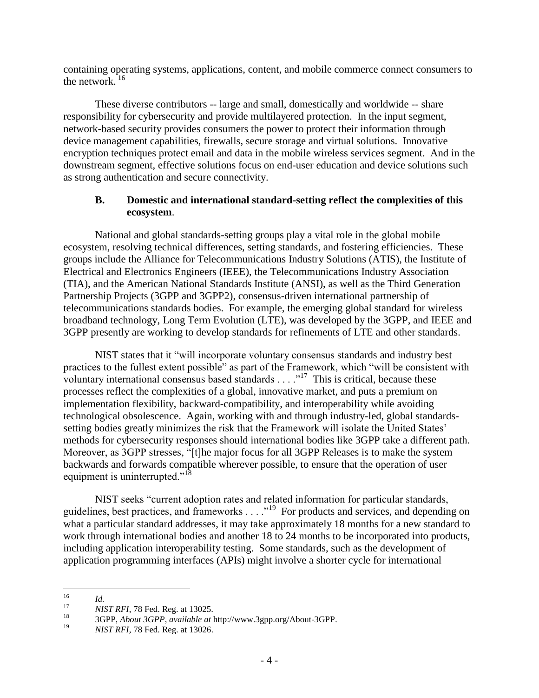containing operating systems, applications, content, and mobile commerce connect consumers to the network. $16$ 

These diverse contributors -- large and small, domestically and worldwide -- share responsibility for cybersecurity and provide multilayered protection. In the input segment, network-based security provides consumers the power to protect their information through device management capabilities, firewalls, secure storage and virtual solutions. Innovative encryption techniques protect email and data in the mobile wireless services segment. And in the downstream segment, effective solutions focus on end-user education and device solutions such as strong authentication and secure connectivity.

### <span id="page-5-0"></span>**B. Domestic and international standard-setting reflect the complexities of this ecosystem**.

National and global standards-setting groups play a vital role in the global mobile ecosystem, resolving technical differences, setting standards, and fostering efficiencies. These groups include the Alliance for Telecommunications Industry Solutions (ATIS), the Institute of Electrical and Electronics Engineers (IEEE), the Telecommunications Industry Association (TIA), and the American National Standards Institute (ANSI), as well as the Third Generation Partnership Projects (3GPP and 3GPP2), consensus-driven international partnership of telecommunications standards bodies. For example, the emerging global standard for wireless broadband technology, Long Term Evolution (LTE), was developed by the 3GPP, and IEEE and 3GPP presently are working to develop standards for refinements of LTE and other standards.

NIST states that it "will incorporate voluntary consensus standards and industry best practices to the fullest extent possible" as part of the Framework, which "will be consistent with voluntary international consensus based standards  $\ldots$  ..."<sup>17</sup> This is critical, because these processes reflect the complexities of a global, innovative market, and puts a premium on implementation flexibility, backward-compatibility, and interoperability while avoiding technological obsolescence. Again, working with and through industry-led, global standardssetting bodies greatly minimizes the risk that the Framework will isolate the United States' methods for cybersecurity responses should international bodies like 3GPP take a different path. Moreover, as 3GPP stresses, "[t]he major focus for all 3GPP Releases is to make the system backwards and forwards compatible wherever possible, to ensure that the operation of user equipment is uninterrupted."<sup>18</sup>

NIST seeks "current adoption rates and related information for particular standards, guidelines, best practices, and frameworks . . . .<sup>19</sup> For products and services, and depending on what a particular standard addresses, it may take approximately 18 months for a new standard to work through international bodies and another 18 to 24 months to be incorporated into products, including application interoperability testing. Some standards, such as the development of application programming interfaces (APIs) might involve a shorter cycle for international

 $16\,$  $\frac{16}{17}$  *Id.* 

<sup>&</sup>lt;sup>17</sup> *NIST RFI*, 78 Fed. Reg. at 13025.<br><sup>18</sup> **2GDD**, About <sup>2</sup>GBB</sup>, mailable at 1

<sup>18</sup> 3GPP, *About 3GPP*, *available at* http://www.3gpp.org/About-3GPP.

<sup>19</sup> *NIST RFI*, 78 Fed. Reg. at 13026.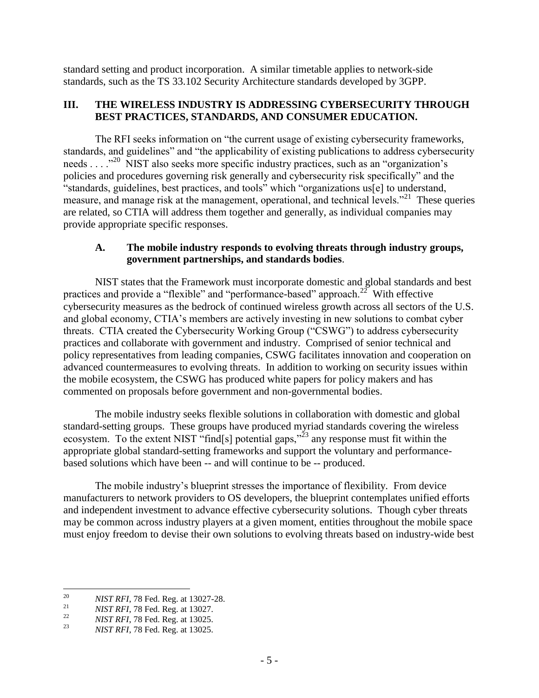standard setting and product incorporation. A similar timetable applies to network-side standards, such as the TS 33.102 Security Architecture standards developed by 3GPP.

### <span id="page-6-0"></span>**III. THE WIRELESS INDUSTRY IS ADDRESSING CYBERSECURITY THROUGH BEST PRACTICES, STANDARDS, AND CONSUMER EDUCATION.**

The RFI seeks information on "the current usage of existing cybersecurity frameworks, standards, and guidelines" and "the applicability of existing publications to address cybersecurity needs . . . .<sup>"20</sup> NIST also seeks more specific industry practices, such as an "organization's policies and procedures governing risk generally and cybersecurity risk specifically" and the "standards, guidelines, best practices, and tools" which "organizations us[e] to understand, measure, and manage risk at the management, operational, and technical levels."<sup>21</sup> These queries are related, so CTIA will address them together and generally, as individual companies may provide appropriate specific responses.

### <span id="page-6-1"></span>**A. The mobile industry responds to evolving threats through industry groups, government partnerships, and standards bodies**.

NIST states that the Framework must incorporate domestic and global standards and best practices and provide a "flexible" and "performance-based" approach.<sup>22</sup> With effective cybersecurity measures as the bedrock of continued wireless growth across all sectors of the U.S. and global economy, CTIA's members are actively investing in new solutions to combat cyber threats. CTIA created the Cybersecurity Working Group ("CSWG") to address cybersecurity practices and collaborate with government and industry. Comprised of senior technical and policy representatives from leading companies, CSWG facilitates innovation and cooperation on advanced countermeasures to evolving threats. In addition to working on security issues within the mobile ecosystem, the CSWG has produced white papers for policy makers and has commented on proposals before government and non-governmental bodies.

The mobile industry seeks flexible solutions in collaboration with domestic and global standard-setting groups. These groups have produced myriad standards covering the wireless ecosystem. To the extent NIST "find[s] potential gaps," $^{23}$  any response must fit within the appropriate global standard-setting frameworks and support the voluntary and performancebased solutions which have been -- and will continue to be -- produced.

The mobile industry's blueprint stresses the importance of flexibility. From device manufacturers to network providers to OS developers, the blueprint contemplates unified efforts and independent investment to advance effective cybersecurity solutions. Though cyber threats may be common across industry players at a given moment, entities throughout the mobile space must enjoy freedom to devise their own solutions to evolving threats based on industry-wide best

<sup>20</sup> <sup>20</sup> *NIST RFI*, 78 Fed. Reg. at 13027-28.<br><sup>21</sup> *NIST RFI*, 79 Fed. Reg. at 12027.

<sup>&</sup>lt;sup>21</sup> *NIST RFI*, 78 Fed. Reg. at 13027.<br>*NIST RFI*, 78 Fed. Reg. at 13025.

<sup>&</sup>lt;sup>22</sup> *NIST RFI*, 78 Fed. Reg. at 13025.

<sup>23</sup> *NIST RFI*, 78 Fed. Reg. at 13025.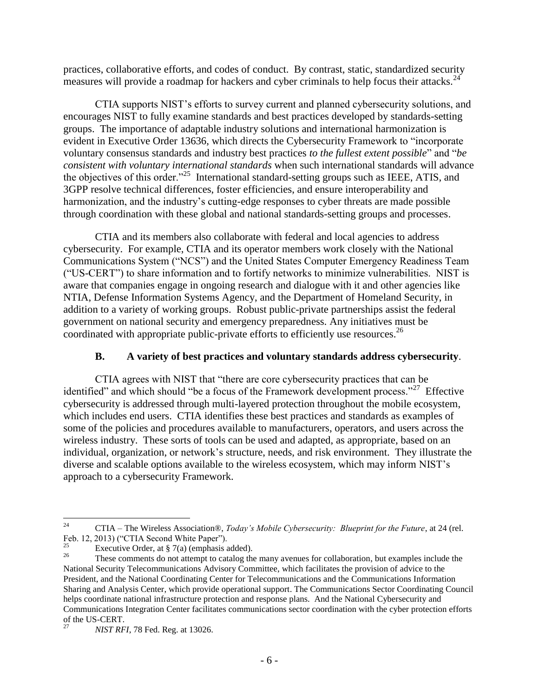practices, collaborative efforts, and codes of conduct. By contrast, static, standardized security measures will provide a roadmap for hackers and cyber criminals to help focus their attacks.<sup>24</sup>

CTIA supports NIST's efforts to survey current and planned cybersecurity solutions, and encourages NIST to fully examine standards and best practices developed by standards-setting groups. The importance of adaptable industry solutions and international harmonization is evident in Executive Order 13636, which directs the Cybersecurity Framework to "incorporate voluntary consensus standards and industry best practices *to the fullest extent possible*" and "*be consistent with voluntary international standards* when such international standards will advance the objectives of this order."<sup>25</sup> International standard-setting groups such as IEEE, ATIS, and 3GPP resolve technical differences, foster efficiencies, and ensure interoperability and harmonization, and the industry's cutting-edge responses to cyber threats are made possible through coordination with these global and national standards-setting groups and processes.

CTIA and its members also collaborate with federal and local agencies to address cybersecurity. For example, CTIA and its operator members work closely with the National Communications System ("NCS") and the United States Computer Emergency Readiness Team ("US-CERT") to share information and to fortify networks to minimize vulnerabilities. NIST is aware that companies engage in ongoing research and dialogue with it and other agencies like NTIA, Defense Information Systems Agency, and the Department of Homeland Security, in addition to a variety of working groups. Robust public-private partnerships assist the federal government on national security and emergency preparedness. Any initiatives must be coordinated with appropriate public-private efforts to efficiently use resources.<sup>26</sup>

# **B. A variety of best practices and voluntary standards address cybersecurity**.

<span id="page-7-0"></span>CTIA agrees with NIST that "there are core cybersecurity practices that can be identified" and which should "be a focus of the Framework development process."<sup>27</sup> Effective cybersecurity is addressed through multi-layered protection throughout the mobile ecosystem, which includes end users. CTIA identifies these best practices and standards as examples of some of the policies and procedures available to manufacturers, operators, and users across the wireless industry. These sorts of tools can be used and adapted, as appropriate, based on an individual, organization, or network's structure, needs, and risk environment. They illustrate the diverse and scalable options available to the wireless ecosystem, which may inform NIST's approach to a cybersecurity Framework.

 $24$ <sup>24</sup> CTIA – The Wireless Association®, *Today's Mobile Cybersecurity: Blueprint for the Future*, at 24 (rel. Feb. 12, 2013) ("CTIA Second White Paper").

<sup>&</sup>lt;sup>25</sup> Executive Order, at  $\frac{8}{3}$  7(a) (emphasis added).

These comments do not attempt to catalog the many avenues for collaboration, but examples include the National Security Telecommunications Advisory Committee, which facilitates the provision of advice to the President, and the National Coordinating Center for Telecommunications and the Communications Information Sharing and Analysis Center, which provide operational support. The Communications Sector Coordinating Council helps coordinate national infrastructure protection and response plans. And the National Cybersecurity and Communications Integration Center facilitates communications sector coordination with the cyber protection efforts of the US-CERT.

<sup>&</sup>lt;sup>27</sup> *NIST RFI*, 78 Fed. Reg. at 13026.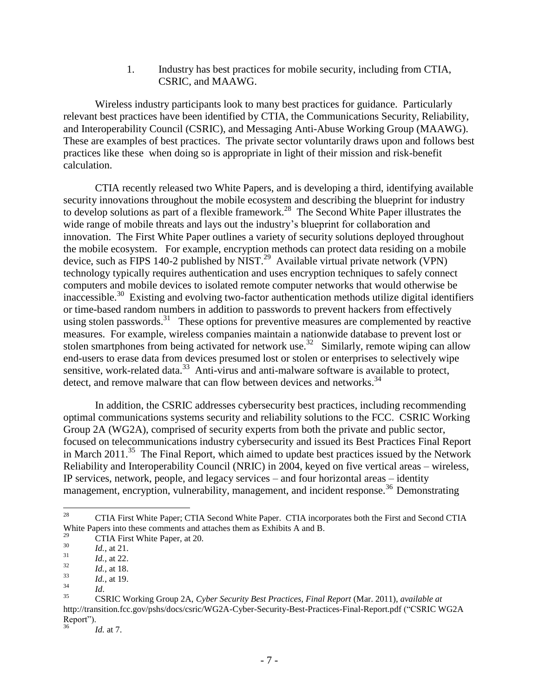1. Industry has best practices for mobile security, including from CTIA, CSRIC, and MAAWG.

<span id="page-8-0"></span>Wireless industry participants look to many best practices for guidance. Particularly relevant best practices have been identified by CTIA, the Communications Security, Reliability, and Interoperability Council (CSRIC), and Messaging Anti-Abuse Working Group (MAAWG). These are examples of best practices. The private sector voluntarily draws upon and follows best practices like these when doing so is appropriate in light of their mission and risk-benefit calculation.

CTIA recently released two White Papers, and is developing a third, identifying available security innovations throughout the mobile ecosystem and describing the blueprint for industry to develop solutions as part of a flexible framework.<sup>28</sup> The Second White Paper illustrates the wide range of mobile threats and lays out the industry's blueprint for collaboration and innovation. The First White Paper outlines a variety of security solutions deployed throughout the mobile ecosystem. For example, encryption methods can protect data residing on a mobile device, such as FIPS 140-2 published by NIST.<sup>29</sup> Available virtual private network (VPN) technology typically requires authentication and uses encryption techniques to safely connect computers and mobile devices to isolated remote computer networks that would otherwise be inaccessible.<sup>30</sup> Existing and evolving two-factor authentication methods utilize digital identifiers or time-based random numbers in addition to passwords to prevent hackers from effectively using stolen passwords.<sup>31</sup> These options for preventive measures are complemented by reactive measures. For example, wireless companies maintain a nationwide database to prevent lost or stolen smartphones from being activated for network use.<sup>32</sup> Similarly, remote wiping can allow end-users to erase data from devices presumed lost or stolen or enterprises to selectively wipe sensitive, work-related data.<sup>33</sup> Anti-virus and anti-malware software is available to protect, detect, and remove malware that can flow between devices and networks.<sup>34</sup>

In addition, the CSRIC addresses cybersecurity best practices, including recommending optimal communications systems security and reliability solutions to the FCC. CSRIC Working Group 2A (WG2A), comprised of security experts from both the private and public sector, focused on telecommunications industry cybersecurity and issued its Best Practices Final Report in March 2011.<sup>35</sup> The Final Report, which aimed to update best practices issued by the Network Reliability and Interoperability Council (NRIC) in 2004, keyed on five vertical areas – wireless, IP services, network, people, and legacy services – and four horizontal areas – identity management, encryption, vulnerability, management, and incident response.<sup>36</sup> Demonstrating

<sup>28</sup> <sup>28</sup> CTIA First White Paper; CTIA Second White Paper. CTIA incorporates both the First and Second CTIA White Papers into these comments and attaches them as Exhibits A and B.

<sup>&</sup>lt;sup>29</sup> CTIA First White Paper, at 20.

 $\frac{30}{31}$  *Id.*, at 21.

 $\frac{31}{32}$  *Id.*, at 22.

 $\frac{32}{33}$  *Id.*, at 18.

 $\frac{33}{34}$  *Id.*, at 19.

 $\frac{34}{35}$  *Id.* 

<sup>35</sup> CSRIC Working Group 2A, *Cyber Security Best Practices, Final Report* (Mar. 2011), *available at*  http://transition.fcc.gov/pshs/docs/csric/WG2A-Cyber-Security-Best-Practices-Final-Report.pdf ("CSRIC WG2A Report").

*Id.* at 7.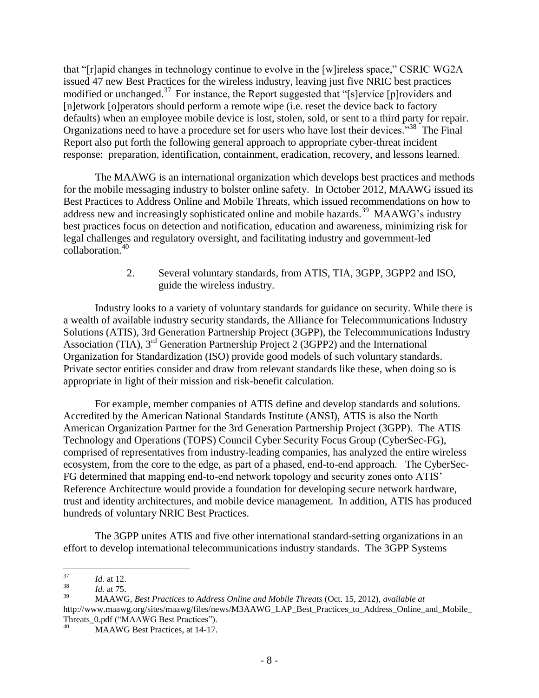that "[r]apid changes in technology continue to evolve in the [w]ireless space," CSRIC WG2A issued 47 new Best Practices for the wireless industry, leaving just five NRIC best practices modified or unchanged.<sup>37</sup> For instance, the Report suggested that "[s]ervice [p]roviders and [n]etwork [o]perators should perform a remote wipe (i.e. reset the device back to factory defaults) when an employee mobile device is lost, stolen, sold, or sent to a third party for repair. Organizations need to have a procedure set for users who have lost their devices.<sup>338</sup> The Final Report also put forth the following general approach to appropriate cyber-threat incident response: preparation, identification, containment, eradication, recovery, and lessons learned.

The MAAWG is an international organization which develops best practices and methods for the mobile messaging industry to bolster online safety. In October 2012, MAAWG issued its Best Practices to Address Online and Mobile Threats, which issued recommendations on how to address new and increasingly sophisticated online and mobile hazards.<sup>39</sup> MAAWG's industry best practices focus on detection and notification, education and awareness, minimizing risk for legal challenges and regulatory oversight, and facilitating industry and government-led collaboration.<sup>40</sup>

> 2. Several voluntary standards, from ATIS, TIA, 3GPP, 3GPP2 and ISO, guide the wireless industry.

<span id="page-9-0"></span>Industry looks to a variety of voluntary standards for guidance on security. While there is a wealth of available industry security standards, the Alliance for Telecommunications Industry Solutions (ATIS), 3rd Generation Partnership Project (3GPP), the Telecommunications Industry Association (TIA),  $3<sup>rd</sup>$  Generation Partnership Project 2 (3GPP2) and the International Organization for Standardization (ISO) provide good models of such voluntary standards. Private sector entities consider and draw from relevant standards like these, when doing so is appropriate in light of their mission and risk-benefit calculation.

For example, member companies of ATIS define and develop standards and solutions. Accredited by the American National Standards Institute (ANSI), ATIS is also the North American Organization Partner for the 3rd Generation Partnership Project (3GPP). The ATIS Technology and Operations (TOPS) Council Cyber Security Focus Group (CyberSec-FG), comprised of representatives from industry-leading companies, has analyzed the entire wireless ecosystem, from the core to the edge, as part of a phased, end-to-end approach. The CyberSec-FG determined that mapping end-to-end network topology and security zones onto ATIS' Reference Architecture would provide a foundation for developing secure network hardware, trust and identity architectures, and mobile device management. In addition, ATIS has produced hundreds of voluntary NRIC Best Practices.

The 3GPP unites ATIS and five other international standard-setting organizations in an effort to develop international telecommunications industry standards. The 3GPP Systems

 $37$  $\frac{37}{38}$  *Id.* at 12.

 $\frac{38}{39}$  *Id.* at 75.

<sup>39</sup> MAAWG, *Best Practices to Address Online and Mobile Threats* (Oct. 15, 2012), *available at*  http://www.maawg.org/sites/maawg/files/news/M3AAWG\_LAP\_Best\_Practices\_to\_Address\_Online\_and\_Mobile\_ Threats\_0.pdf ("MAAWG Best Practices").

MAAWG Best Practices, at 14-17.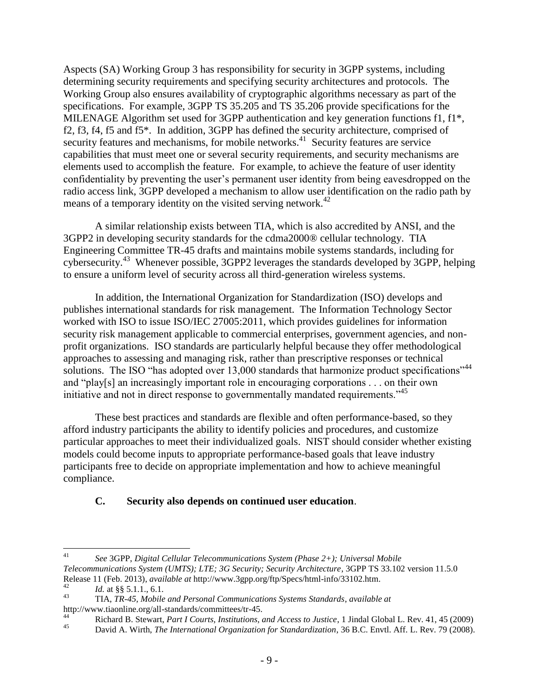Aspects (SA) Working Group 3 has responsibility for security in 3GPP systems, including determining security requirements and specifying security architectures and protocols. The Working Group also ensures availability of cryptographic algorithms necessary as part of the specifications. For example, 3GPP TS 35.205 and TS 35.206 provide specifications for the MILENAGE Algorithm set used for 3GPP authentication and key generation functions f1, f1\*, f2, f3, f4, f5 and f5\*. In addition, 3GPP has defined the security architecture, comprised of security features and mechanisms, for mobile networks.<sup>41</sup> Security features are service capabilities that must meet one or several security requirements, and security mechanisms are elements used to accomplish the feature. For example, to achieve the feature of user identity confidentiality by preventing the user's permanent user identity from being eavesdropped on the radio access link, 3GPP developed a mechanism to allow user identification on the radio path by means of a temporary identity on the visited serving network.<sup>42</sup>

A similar relationship exists between TIA, which is also accredited by ANSI, and the 3GPP2 in developing security standards for the cdma2000® cellular technology. TIA Engineering Committee TR-45 drafts and maintains mobile systems standards, including for cybersecurity.<sup>43</sup> Whenever possible, 3GPP2 leverages the standards developed by 3GPP, helping to ensure a uniform level of security across all third-generation wireless systems.

In addition, the International Organization for Standardization (ISO) develops and publishes international standards for risk management. The Information Technology Sector worked with ISO to issue ISO/IEC 27005:2011, which provides guidelines for information security risk management applicable to commercial enterprises, government agencies, and nonprofit organizations. ISO standards are particularly helpful because they offer methodological approaches to assessing and managing risk, rather than prescriptive responses or technical solutions. The ISO "has adopted over 13,000 standards that harmonize product specifications"<sup>44</sup> and "play[s] an increasingly important role in encouraging corporations . . . on their own initiative and not in direct response to governmentally mandated requirements.<sup>45</sup>

These best practices and standards are flexible and often performance-based, so they afford industry participants the ability to identify policies and procedures, and customize particular approaches to meet their individualized goals. NIST should consider whether existing models could become inputs to appropriate performance-based goals that leave industry participants free to decide on appropriate implementation and how to achieve meaningful compliance.

# <span id="page-10-0"></span>**C. Security also depends on continued user education**.

 $41$ <sup>41</sup> *See* 3GPP, *Digital Cellular Telecommunications System (Phase 2+); Universal Mobile Telecommunications System (UMTS); LTE; 3G Security; Security Architecture*, 3GPP TS 33.102 version 11.5.0 Release 11 (Feb. 2013), *available at* http://www.3gpp.org/ftp/Specs/html-info/33102.htm.

<sup>&</sup>lt;sup>42</sup> *Id.* at §§ 5.1.1., 6.1.<br><sup>43</sup> TIA TP 45 Makila

<sup>43</sup> TIA, *TR-45, Mobile and Personal Communications Systems Standards*, *available at*  http://www.tiaonline.org/all-standards/committees/tr-45.

<sup>44</sup> Richard B. Stewart, *Part I Courts, Institutions, and Access to Justice*, 1 Jindal Global L. Rev. 41, 45 (2009)

<sup>45</sup> David A. Wirth, *The International Organization for Standardization*, 36 B.C. Envtl. Aff. L. Rev. 79 (2008).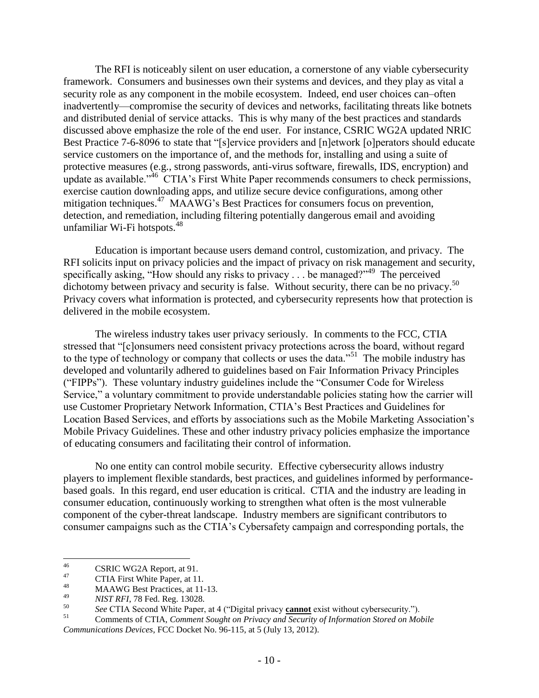The RFI is noticeably silent on user education, a cornerstone of any viable cybersecurity framework. Consumers and businesses own their systems and devices, and they play as vital a security role as any component in the mobile ecosystem. Indeed, end user choices can–often inadvertently—compromise the security of devices and networks, facilitating threats like botnets and distributed denial of service attacks. This is why many of the best practices and standards discussed above emphasize the role of the end user. For instance, CSRIC WG2A updated NRIC Best Practice 7-6-8096 to state that "[s]ervice providers and [n]etwork [o]perators should educate service customers on the importance of, and the methods for, installing and using a suite of protective measures (e.g., strong passwords, anti-virus software, firewalls, IDS, encryption) and update as available."<sup>46</sup> CTIA's First White Paper recommends consumers to check permissions, exercise caution downloading apps, and utilize secure device configurations, among other mitigation techniques.<sup>47</sup> MAAWG's Best Practices for consumers focus on prevention, detection, and remediation, including filtering potentially dangerous email and avoiding unfamiliar Wi-Fi hotspots.<sup>48</sup>

Education is important because users demand control, customization, and privacy. The RFI solicits input on privacy policies and the impact of privacy on risk management and security, specifically asking, "How should any risks to privacy . . . be managed?"<sup>49</sup> The perceived dichotomy between privacy and security is false. Without security, there can be no privacy.<sup>50</sup> Privacy covers what information is protected, and cybersecurity represents how that protection is delivered in the mobile ecosystem.

The wireless industry takes user privacy seriously. In comments to the FCC, CTIA stressed that "[c]onsumers need consistent privacy protections across the board, without regard to the type of technology or company that collects or uses the data."<sup>51</sup> The mobile industry has developed and voluntarily adhered to guidelines based on Fair Information Privacy Principles ("FIPPs"). These voluntary industry guidelines include the "Consumer Code for Wireless Service," a voluntary commitment to provide understandable policies stating how the carrier will use Customer Proprietary Network Information, CTIA's Best Practices and Guidelines for Location Based Services, and efforts by associations such as the Mobile Marketing Association's Mobile Privacy Guidelines. These and other industry privacy policies emphasize the importance of educating consumers and facilitating their control of information.

No one entity can control mobile security. Effective cybersecurity allows industry players to implement flexible standards, best practices, and guidelines informed by performancebased goals. In this regard, end user education is critical. CTIA and the industry are leading in consumer education, continuously working to strengthen what often is the most vulnerable component of the cyber-threat landscape. Industry members are significant contributors to consumer campaigns such as the CTIA's Cybersafety campaign and corresponding portals, the

 $46\,$  $^{46}$  CSRIC WG2A Report, at 91.

 $^{47}$  CTIA First White Paper, at 11.

 $^{48}$  MAAWG Best Practices, at 11-13.

<sup>49</sup> *NIST RFI*, 78 Fed. Reg. 13028.

<sup>50</sup> *See* CTIA Second White Paper, at 4 ("Digital privacy **cannot** exist without cybersecurity.").

<sup>51</sup> Comments of CTIA, *Comment Sought on Privacy and Security of Information Stored on Mobile Communications Devices*, FCC Docket No. 96-115, at 5 (July 13, 2012).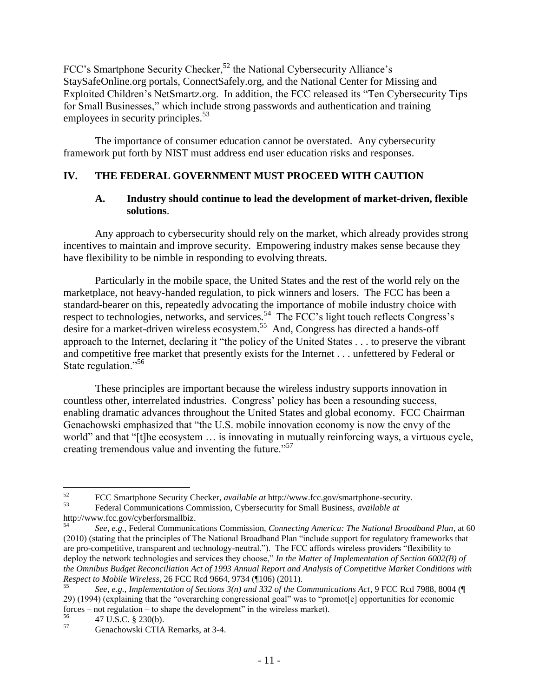FCC's Smartphone Security Checker,<sup>52</sup> the National Cybersecurity Alliance's StaySafeOnline.org portals, ConnectSafely.org, and the National Center for Missing and Exploited Children's NetSmartz.org. In addition, the FCC released its "Ten Cybersecurity Tips for Small Businesses," which include strong passwords and authentication and training employees in security principles.<sup>53</sup>

The importance of consumer education cannot be overstated. Any cybersecurity framework put forth by NIST must address end user education risks and responses.

# <span id="page-12-1"></span><span id="page-12-0"></span>**IV. THE FEDERAL GOVERNMENT MUST PROCEED WITH CAUTION**

### **A. Industry should continue to lead the development of market-driven, flexible solutions**.

Any approach to cybersecurity should rely on the market, which already provides strong incentives to maintain and improve security. Empowering industry makes sense because they have flexibility to be nimble in responding to evolving threats.

Particularly in the mobile space, the United States and the rest of the world rely on the marketplace, not heavy-handed regulation, to pick winners and losers. The FCC has been a standard-bearer on this, repeatedly advocating the importance of mobile industry choice with respect to technologies, networks, and services.<sup>54</sup> The FCC's light touch reflects Congress's desire for a market-driven wireless ecosystem.<sup>55</sup> And, Congress has directed a hands-off approach to the Internet, declaring it "the policy of the United States . . . to preserve the vibrant and competitive free market that presently exists for the Internet . . . unfettered by Federal or State regulation."<sup>56</sup>

These principles are important because the wireless industry supports innovation in countless other, interrelated industries. Congress' policy has been a resounding success, enabling dramatic advances throughout the United States and global economy. FCC Chairman Genachowski emphasized that "the U.S. mobile innovation economy is now the envy of the world" and that "[t]he ecosystem … is innovating in mutually reinforcing ways, a virtuous cycle, creating tremendous value and inventing the future."<sup>57</sup>

<sup>52</sup>  $52$  FCC Smartphone Security Checker, *available at* http://www.fcc.gov/smartphone-security.<br> **Enderal Communications Commission.** Cybersecurity for Small Business, *available at* 

<sup>53</sup> Federal Communications Commission, Cybersecurity for Small Business, *available at*  http://www.fcc.gov/cyberforsmallbiz.

<sup>54</sup> *See, e.g.*, Federal Communications Commission, *Connecting America: The National Broadband Plan*, at 60 (2010) (stating that the principles of The National Broadband Plan "include support for regulatory frameworks that are pro-competitive, transparent and technology-neutral."). The FCC affords wireless providers "flexibility to deploy the network technologies and services they choose," *In the Matter of Implementation of Section 6002(B) of the Omnibus Budget Reconciliation Act of 1993 Annual Report and Analysis of Competitive Market Conditions with Respect to Mobile Wireless*, 26 FCC Rcd 9664, 9734 (¶106) (2011).

<sup>55</sup> *See, e.g.*, *Implementation of Sections 3(n) and 332 of the Communications Act*, 9 FCC Rcd 7988, 8004 (¶ 29) (1994) (explaining that the "overarching congressional goal" was to "promot[e] opportunities for economic forces – not regulation – to shape the development" in the wireless market).

 $^{56}$  47 U.S.C. § 230(b).<br>  $^{57}$  Ganachowski CTIA

<sup>57</sup> Genachowski CTIA Remarks, at 3-4.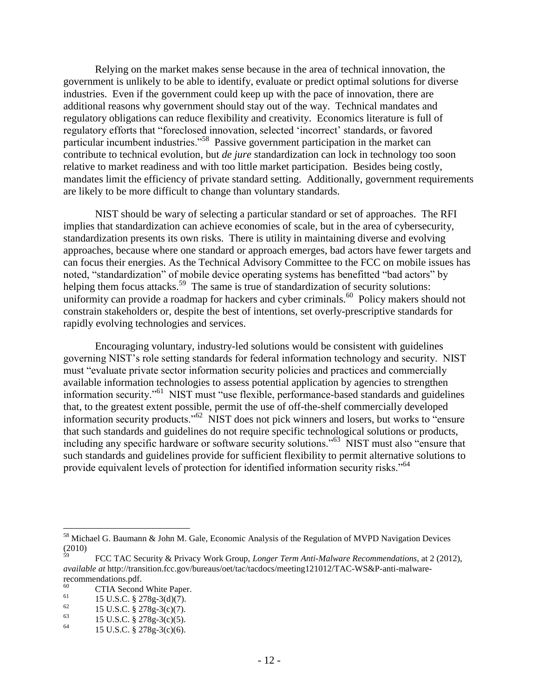Relying on the market makes sense because in the area of technical innovation, the government is unlikely to be able to identify, evaluate or predict optimal solutions for diverse industries. Even if the government could keep up with the pace of innovation, there are additional reasons why government should stay out of the way. Technical mandates and regulatory obligations can reduce flexibility and creativity. Economics literature is full of regulatory efforts that "foreclosed innovation, selected 'incorrect' standards, or favored particular incumbent industries."<sup>58</sup> Passive government participation in the market can contribute to technical evolution, but *de jure* standardization can lock in technology too soon relative to market readiness and with too little market participation. Besides being costly, mandates limit the efficiency of private standard setting. Additionally, government requirements are likely to be more difficult to change than voluntary standards.

NIST should be wary of selecting a particular standard or set of approaches. The RFI implies that standardization can achieve economies of scale, but in the area of cybersecurity, standardization presents its own risks. There is utility in maintaining diverse and evolving approaches, because where one standard or approach emerges, bad actors have fewer targets and can focus their energies. As the Technical Advisory Committee to the FCC on mobile issues has noted, "standardization" of mobile device operating systems has benefitted "bad actors" by helping them focus attacks.<sup>59</sup> The same is true of standardization of security solutions: uniformity can provide a roadmap for hackers and cyber criminals.<sup>60</sup> Policy makers should not constrain stakeholders or, despite the best of intentions, set overly-prescriptive standards for rapidly evolving technologies and services.

Encouraging voluntary, industry-led solutions would be consistent with guidelines governing NIST's role setting standards for federal information technology and security. NIST must "evaluate private sector information security policies and practices and commercially available information technologies to assess potential application by agencies to strengthen information security."<sup>61</sup> NIST must "use flexible, performance-based standards and guidelines that, to the greatest extent possible, permit the use of off-the-shelf commercially developed information security products."<sup>62</sup> NIST does not pick winners and losers, but works to "ensure that such standards and guidelines do not require specific technological solutions or products, including any specific hardware or software security solutions."<sup>63</sup> NIST must also "ensure that such standards and guidelines provide for sufficient flexibility to permit alternative solutions to provide equivalent levels of protection for identified information security risks."<sup>64</sup>

 $\overline{a}$ 

<sup>58</sup> Michael G. Baumann & John M. Gale, Economic Analysis of the Regulation of MVPD Navigation Devices  $(2010)$ 

<sup>59</sup> FCC TAC Security & Privacy Work Group, *Longer Term Anti-Malware Recommendations*, at 2 (2012), *available at* http://transition.fcc.gov/bureaus/oet/tac/tacdocs/meeting121012/TAC-WS&P-anti-malwarerecommendations.pdf.

 $^{60}$  CTIA Second White Paper.

<sup>&</sup>lt;sup>61</sup> 15 U.S.C. § 278g-3(d)(7).

<sup>&</sup>lt;sup>62</sup> 15 U.S.C. § 278g-3(c)(7).<br><sup>63</sup> 15 U.S.C. § 279g-3(c)(5)

<sup>&</sup>lt;sup>63</sup> 15 U.S.C. § 278g-3(c)(5).<br><sup>64</sup> 15 U.S.C. § 279. 2(c)(6).

<sup>15</sup> U.S.C. § 278g-3(c)(6).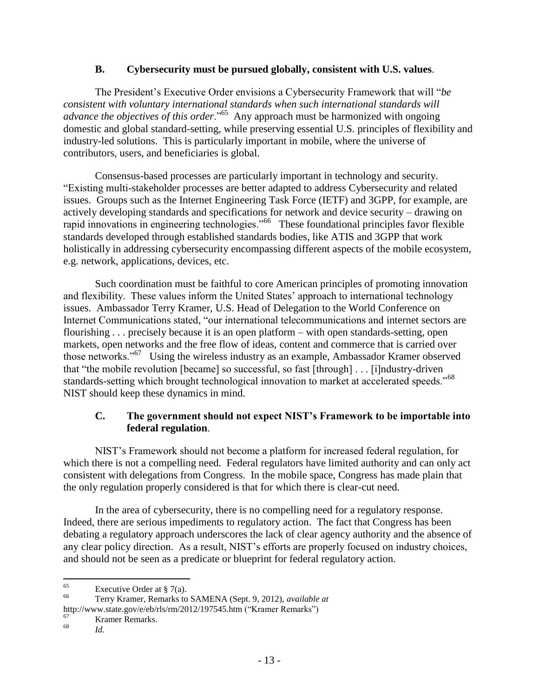### **B. Cybersecurity must be pursued globally, consistent with U.S. values**.

<span id="page-14-0"></span>The President's Executive Order envisions a Cybersecurity Framework that will "*be consistent with voluntary international standards when such international standards will advance the objectives of this order*."<sup>65</sup> Any approach must be harmonized with ongoing domestic and global standard-setting, while preserving essential U.S. principles of flexibility and industry-led solutions. This is particularly important in mobile, where the universe of contributors, users, and beneficiaries is global.

Consensus-based processes are particularly important in technology and security. "Existing multi-stakeholder processes are better adapted to address Cybersecurity and related issues. Groups such as the Internet Engineering Task Force (IETF) and 3GPP, for example, are actively developing standards and specifications for network and device security – drawing on rapid innovations in engineering technologies."<sup>66</sup> These foundational principles favor flexible standards developed through established standards bodies, like ATIS and 3GPP that work holistically in addressing cybersecurity encompassing different aspects of the mobile ecosystem, e.g. network, applications, devices, etc.

Such coordination must be faithful to core American principles of promoting innovation and flexibility. These values inform the United States' approach to international technology issues. Ambassador Terry Kramer, U.S. Head of Delegation to the World Conference on Internet Communications stated, "our international telecommunications and internet sectors are flourishing . . . precisely because it is an open platform – with open standards-setting, open markets, open networks and the free flow of ideas, content and commerce that is carried over those networks."<sup>67</sup> Using the wireless industry as an example, Ambassador Kramer observed that "the mobile revolution [became] so successful, so fast [through] . . . [i]ndustry-driven standards-setting which brought technological innovation to market at accelerated speeds."<sup>68</sup> NIST should keep these dynamics in mind.

# <span id="page-14-1"></span>**C. The government should not expect NIST's Framework to be importable into federal regulation**.

NIST's Framework should not become a platform for increased federal regulation, for which there is not a compelling need. Federal regulators have limited authority and can only act consistent with delegations from Congress. In the mobile space, Congress has made plain that the only regulation properly considered is that for which there is clear-cut need.

In the area of cybersecurity, there is no compelling need for a regulatory response. Indeed, there are serious impediments to regulatory action. The fact that Congress has been debating a regulatory approach underscores the lack of clear agency authority and the absence of any clear policy direction. As a result, NIST's efforts are properly focused on industry choices, and should not be seen as a predicate or blueprint for federal regulatory action.

http://www.state.gov/e/eb/rls/rm/2012/197545.htm ("Kramer Remarks")

<sup>65</sup>  $\frac{65}{66}$  Executive Order at § 7(a).

<sup>66</sup> Terry Kramer, Remarks to SAMENA (Sept. 9, 2012), *available at*

 $\frac{67}{68}$  Kramer Remarks. *Id.*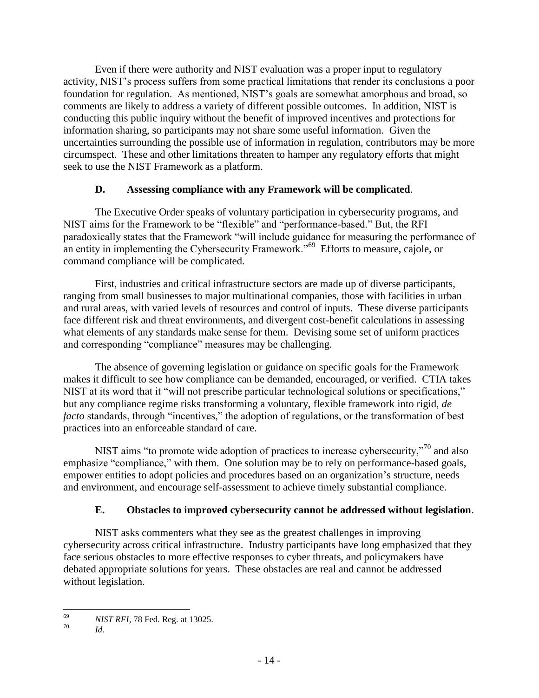Even if there were authority and NIST evaluation was a proper input to regulatory activity, NIST's process suffers from some practical limitations that render its conclusions a poor foundation for regulation. As mentioned, NIST's goals are somewhat amorphous and broad, so comments are likely to address a variety of different possible outcomes. In addition, NIST is conducting this public inquiry without the benefit of improved incentives and protections for information sharing, so participants may not share some useful information. Given the uncertainties surrounding the possible use of information in regulation, contributors may be more circumspect. These and other limitations threaten to hamper any regulatory efforts that might seek to use the NIST Framework as a platform.

# **D. Assessing compliance with any Framework will be complicated**.

<span id="page-15-0"></span>The Executive Order speaks of voluntary participation in cybersecurity programs, and NIST aims for the Framework to be "flexible" and "performance-based." But, the RFI paradoxically states that the Framework "will include guidance for measuring the performance of an entity in implementing the Cybersecurity Framework."<sup>69</sup> Efforts to measure, cajole, or command compliance will be complicated.

First, industries and critical infrastructure sectors are made up of diverse participants, ranging from small businesses to major multinational companies, those with facilities in urban and rural areas, with varied levels of resources and control of inputs. These diverse participants face different risk and threat environments, and divergent cost-benefit calculations in assessing what elements of any standards make sense for them. Devising some set of uniform practices and corresponding "compliance" measures may be challenging.

The absence of governing legislation or guidance on specific goals for the Framework makes it difficult to see how compliance can be demanded, encouraged, or verified. CTIA takes NIST at its word that it "will not prescribe particular technological solutions or specifications," but any compliance regime risks transforming a voluntary, flexible framework into rigid, *de facto* standards, through "incentives," the adoption of regulations, or the transformation of best practices into an enforceable standard of care.

NIST aims "to promote wide adoption of practices to increase cybersecurity,"<sup>70</sup> and also emphasize "compliance," with them. One solution may be to rely on performance-based goals, empower entities to adopt policies and procedures based on an organization's structure, needs and environment, and encourage self-assessment to achieve timely substantial compliance.

# **E. Obstacles to improved cybersecurity cannot be addressed without legislation**.

<span id="page-15-1"></span>NIST asks commenters what they see as the greatest challenges in improving cybersecurity across critical infrastructure. Industry participants have long emphasized that they face serious obstacles to more effective responses to cyber threats, and policymakers have debated appropriate solutions for years. These obstacles are real and cannot be addressed without legislation.

<sup>69</sup> <sup>69</sup> *NIST RFI*, 78 Fed. Reg. at 13025.

*Id.*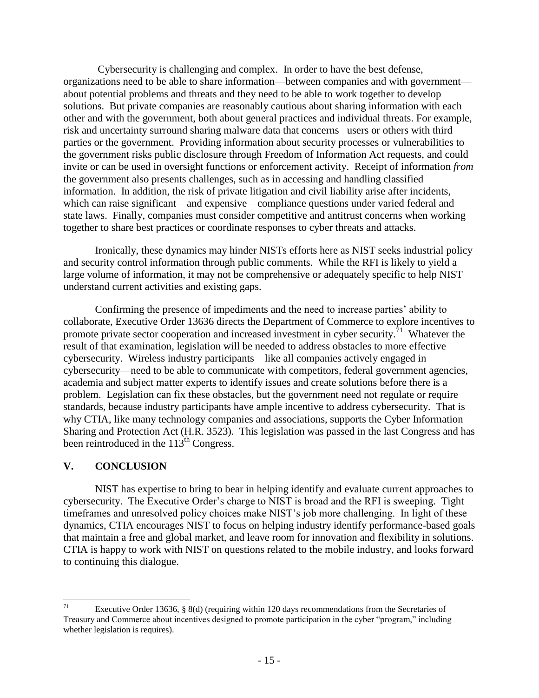Cybersecurity is challenging and complex. In order to have the best defense, organizations need to be able to share information—between companies and with government about potential problems and threats and they need to be able to work together to develop solutions. But private companies are reasonably cautious about sharing information with each other and with the government, both about general practices and individual threats. For example, risk and uncertainty surround sharing malware data that concerns users or others with third parties or the government. Providing information about security processes or vulnerabilities to the government risks public disclosure through Freedom of Information Act requests, and could invite or can be used in oversight functions or enforcement activity. Receipt of information *from* the government also presents challenges, such as in accessing and handling classified information. In addition, the risk of private litigation and civil liability arise after incidents, which can raise significant—and expensive—compliance questions under varied federal and state laws. Finally, companies must consider competitive and antitrust concerns when working together to share best practices or coordinate responses to cyber threats and attacks.

Ironically, these dynamics may hinder NISTs efforts here as NIST seeks industrial policy and security control information through public comments. While the RFI is likely to yield a large volume of information, it may not be comprehensive or adequately specific to help NIST understand current activities and existing gaps.

Confirming the presence of impediments and the need to increase parties' ability to collaborate, Executive Order 13636 directs the Department of Commerce to explore incentives to promote private sector cooperation and increased investment in cyber security.<sup> $71$ </sup> Whatever the result of that examination, legislation will be needed to address obstacles to more effective cybersecurity. Wireless industry participants—like all companies actively engaged in cybersecurity—need to be able to communicate with competitors, federal government agencies, academia and subject matter experts to identify issues and create solutions before there is a problem. Legislation can fix these obstacles, but the government need not regulate or require standards, because industry participants have ample incentive to address cybersecurity. That is why CTIA, like many technology companies and associations, supports the Cyber Information Sharing and Protection Act (H.R. 3523). This legislation was passed in the last Congress and has been reintroduced in the  $113<sup>th</sup>$  Congress.

# <span id="page-16-0"></span>**V. CONCLUSION**

NIST has expertise to bring to bear in helping identify and evaluate current approaches to cybersecurity. The Executive Order's charge to NIST is broad and the RFI is sweeping. Tight timeframes and unresolved policy choices make NIST's job more challenging. In light of these dynamics, CTIA encourages NIST to focus on helping industry identify performance-based goals that maintain a free and global market, and leave room for innovation and flexibility in solutions. CTIA is happy to work with NIST on questions related to the mobile industry, and looks forward to continuing this dialogue.

<sup>71</sup> Executive Order 13636, § 8(d) (requiring within 120 days recommendations from the Secretaries of Treasury and Commerce about incentives designed to promote participation in the cyber "program," including whether legislation is requires).